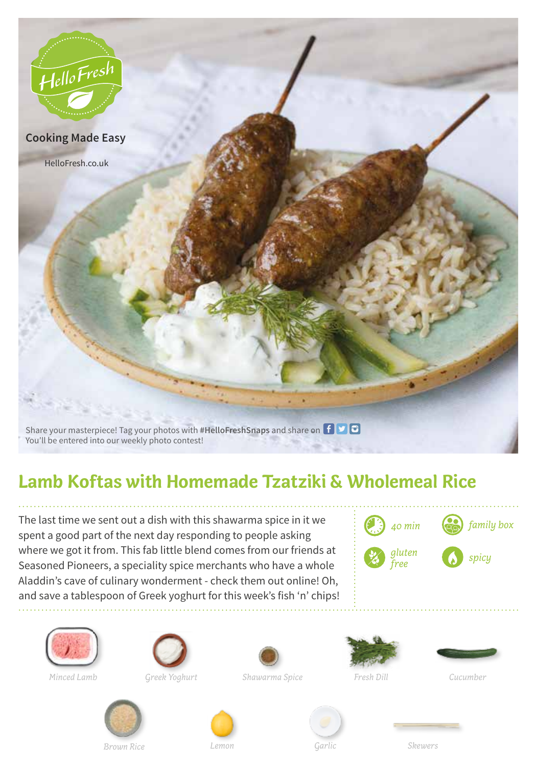

## **Lamb Koftas with Homemade Tzatziki & Wholemeal Rice**

The last time we sent out a dish with this shawarma spice in it we spent a good part of the next day responding to people asking where we got it from. This fab little blend comes from our friends at Seasoned Pioneers, a speciality spice merchants who have a whole Aladdin's cave of culinary wonderment - check them out online! Oh, and save a tablespoon of Greek yoghurt for this week's fish 'n' chips!







*Greek Yoghurt*



*Shawarma Spice Minced Lamb Fresh Dill Cucumber*









*Skewers*

*Brown Rice Garlic*